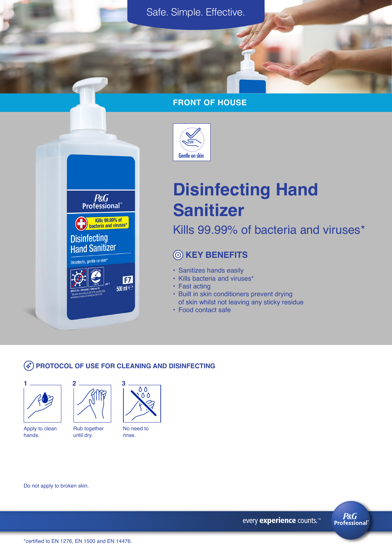## **FRONT OF HOUSE**



# Gentle on skin

# **Disinfecting Hand Sanitizer**

Kills 99.99% of bacteria and viruses\*

# **KEY BENEFITS**

- Sanitizes hands easily
- Kills bacteria and viruses\*
- Fast acting
- Built in skin conditioners prevent drying of skin whilst not leaving any sticky residue
- Food contact safe

### **PROTOCOL OF USE FOR CLEANING AND DISINFECTING**





Apply to clean hands.



No need to

00

rinse.

Do not apply to broken skin.